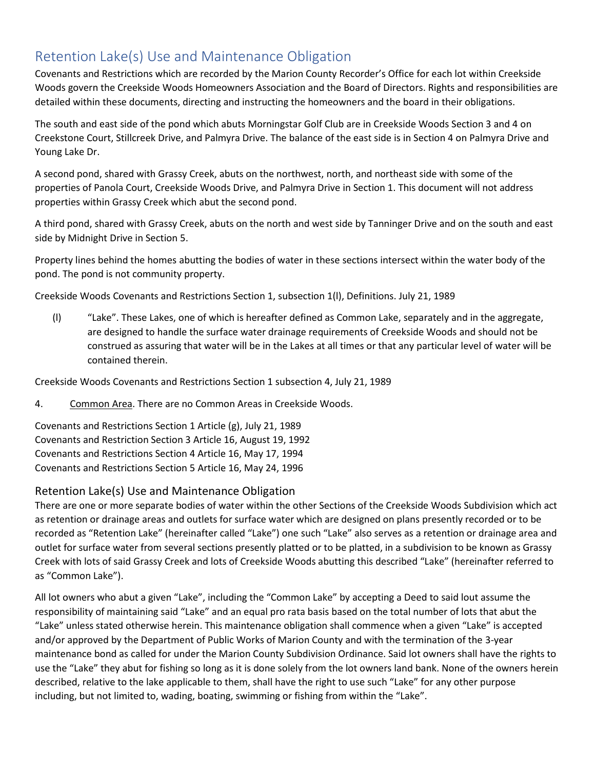## Retention Lake(s) Use and Maintenance Obligation

Covenants and Restrictions which are recorded by the Marion County Recorder's Office for each lot within Creekside Woods govern the Creekside Woods Homeowners Association and the Board of Directors. Rights and responsibilities are detailed within these documents, directing and instructing the homeowners and the board in their obligations.

The south and east side of the pond which abuts Morningstar Golf Club are in Creekside Woods Section 3 and 4 on Creekstone Court, Stillcreek Drive, and Palmyra Drive. The balance of the east side is in Section 4 on Palmyra Drive and Young Lake Dr.

A second pond, shared with Grassy Creek, abuts on the northwest, north, and northeast side with some of the properties of Panola Court, Creekside Woods Drive, and Palmyra Drive in Section 1. This document will not address properties within Grassy Creek which abut the second pond.

A third pond, shared with Grassy Creek, abuts on the north and west side by Tanninger Drive and on the south and east side by Midnight Drive in Section 5.

Property lines behind the homes abutting the bodies of water in these sections intersect within the water body of the pond. The pond is not community property.

Creekside Woods Covenants and Restrictions Section 1, subsection 1(l), Definitions. July 21, 1989

(l) "Lake". These Lakes, one of which is hereafter defined as Common Lake, separately and in the aggregate, are designed to handle the surface water drainage requirements of Creekside Woods and should not be construed as assuring that water will be in the Lakes at all times or that any particular level of water will be contained therein.

Creekside Woods Covenants and Restrictions Section 1 subsection 4, July 21, 1989

4. Common Area. There are no Common Areas in Creekside Woods.

Covenants and Restrictions Section 1 Article (g), July 21, 1989 Covenants and Restriction Section 3 Article 16, August 19, 1992 Covenants and Restrictions Section 4 Article 16, May 17, 1994 Covenants and Restrictions Section 5 Article 16, May 24, 1996

## Retention Lake(s) Use and Maintenance Obligation

There are one or more separate bodies of water within the other Sections of the Creekside Woods Subdivision which act as retention or drainage areas and outlets for surface water which are designed on plans presently recorded or to be recorded as "Retention Lake" (hereinafter called "Lake") one such "Lake" also serves as a retention or drainage area and outlet for surface water from several sections presently platted or to be platted, in a subdivision to be known as Grassy Creek with lots of said Grassy Creek and lots of Creekside Woods abutting this described "Lake" (hereinafter referred to as "Common Lake").

All lot owners who abut a given "Lake", including the "Common Lake" by accepting a Deed to said lout assume the responsibility of maintaining said "Lake" and an equal pro rata basis based on the total number of lots that abut the "Lake" unless stated otherwise herein. This maintenance obligation shall commence when a given "Lake" is accepted and/or approved by the Department of Public Works of Marion County and with the termination of the 3-year maintenance bond as called for under the Marion County Subdivision Ordinance. Said lot owners shall have the rights to use the "Lake" they abut for fishing so long as it is done solely from the lot owners land bank. None of the owners herein described, relative to the lake applicable to them, shall have the right to use such "Lake" for any other purpose including, but not limited to, wading, boating, swimming or fishing from within the "Lake".